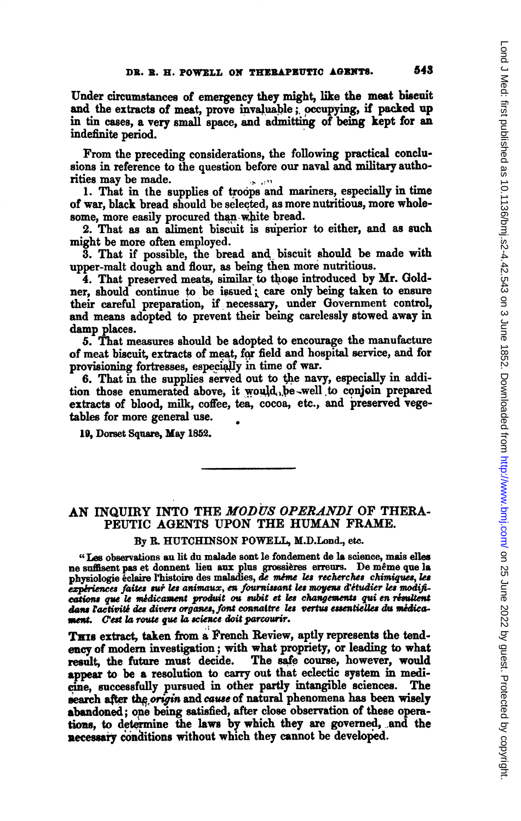Under circumstances of emergency they might, like the meat biseuit and the extracts of meat, prove invaluable; occupying, if packed up in tin cases, a very small space, and admitting of being kept for an indefinite period.

From the preceding considerations, the following practical conclusions in reference to the question before our naval and military authorities may be made.

1. That in the supplies of troops and mariners, especially in time of war, black bread should be selected, as more nutritious, more wholesome, more easily procured than white bread.

2. That as an aliment biscuit is superior to either, and as such might be more often employed.

3. That if possible, the bread and biscuit should be made with upper-malt dough and flour, as being then more nutritious.

4. That preserved meats, similar to thope introduced by Mr. Goldner, should continue to be issued; care only being taken to ensure their careful preparation, if necessary, under Government control, and means adopted to prevent their being carelessly stowed away in damp places.

5. That measures should be adopted to encourage the manufacture of meat biscuit, extracts of meat, for field and hospital service, and for provisioning fortresses, especially in time of war.

6. That in the supplies served out to the navy, especially in addition those enumerated above, it would, be well to conjoin prepared extracts of blood, milk, coffee, tea, cocoa, etc., and preserved vegetables for more general use.

19, Dorset Square, May 1852.

# AN INQUIRY INTO THE MODUS OPERANDI OF THERA-PEUTIC AGENTS UPON THE HUMAN FRAME.

## By R. HUTCHINSON POWELL, M.D.Lond., etc.

"Les observations au lit du malade sont le fondement de la science, mais elles ne suffisent pas et donnent lieu aux plus grossières erreurs. De même que la physiologie éclaire l'histoire des maladies, de même les recherches chimiques, les expériences faites sur les animaux, en fournissant les moyens d'étudier les modifications que le médicament produit ou subit et les changements qui en résultent dans l'activité des divers organes, font connattre les vertus essentielles du médicament. C'est la route que la science doit parcourir.

THIS extract, taken from a French Review, aptly represents the tendency of modern investigation; with what propriety, or leading to what result, the future must decide. The safe course, however, would The safe course, however, would appear to be a resolution to carry out that eclectic system in medicine, successfully pursued in other partly intangible sciences. The search after the origin and cause of natural phenomena has been wisely abandoned; one being satisfied, after close observation of these operations, to determine the laws by which they are governed, and the necessary conditions without which they cannot be developed.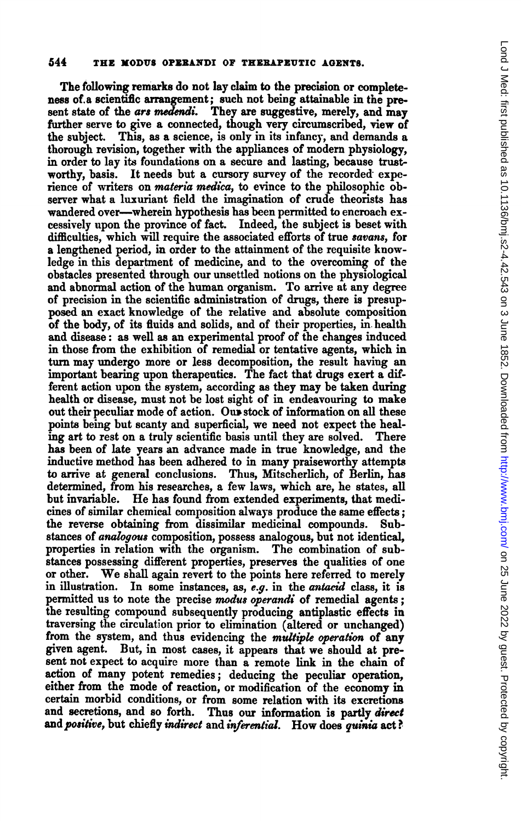The following remarks do not lay claim to the precision or completeness of.a scientific arrangement; such not being attainable in the present state of the ars medendi. They are suggestive, merely, and may further serve to give a connected, though very circumscribed, view of the subject. This, as a science, is only in its infancy, and demands a thorough revision, together with the appliances of modern physiology, in order to lay its foundations on a secure and lasting, because trustworthy, basis. It needs but a cursory survey of the recorded experience of writers on *materia medica*, to evince to the philosophic observer what a luxuriant field the imagination of crude theorists has wandered over-wherein hypothesis has been permitted to encroach excessively upon the province of fact. Indeed, the subject is beset with difficulties, which will require the associated efforts of true savans, for a lengthened period, in order to the attainment of the requisite knowledge in this department of medicine, and to the overcoming of the obstacles presented through our unsettled notions on the physiological and abnormal action of the human organism. To arrive at any degree of precision in the scientific administration of drugs, there is presupposed an exact knowledge of the relative and absolute composition of the body, of its fluids and solids, and of their properties, in. health and disease: as well as an experimental proof of the changes induced in those from the exhibition of remedial or tentative agents, which in turn may undergo more or less decomposition, the result having an important bearing upon therapeutics. The fact that drugs exert a different action upon the system, according as they may be taken during health or disease, must not be lost sight of in endeavouring to make out their peculiar mode of action. Our stock of information on all these points being but scanty and superficial, we need not expect the heal-<br>ing art to rest on a truly scientific basis until they are solved. There ing art to rest on a truly scientific basis until they are solved. has been of late years an advance made in true knowledge, and the inductive method has been adhered to in many praiseworthy attempts to arrive at general conclusions. Thus, Mitscherlich, of Berlin, has determined, from his researches, a few laws, which are, he states, all but invariable. He has found from extended experiments, that medicines of similar chemical composition always produce the same effects; the reverse obtaining from dissimilar medicinal compounds. Substances of analogous composition, possess analogous, but not identical, properties in relation with the organism. The combination of substances possessing different properties, preserves the qualities of one or other. We shall again revert to the points here referred to merely<br>in illustration. In some instances, as, e.g. in the *antacid* class, it is In some instances, as,  $e.g.$  in the antacid class, it is permitted us to note the precise modus operandi of remedial agents; the resulting compound subsequently producing antiplastic effects in traversing the circulation prior to elimination (altered or unchanged) from the system, and thus evidencing the *multiple operation* of any given agent. But, in most cases, it appears that we should at present not expect to acquire more than a remote link in the chain of action of many potent remedies; deducing the peculiar operation, either from the mode of reaction, or modification of the economy in certain morbid conditions, or from some relation with its excretions and secretions, and so forth. Thus our information is partly direct and positive, but chiefly indirect and inferential. How does quinta act?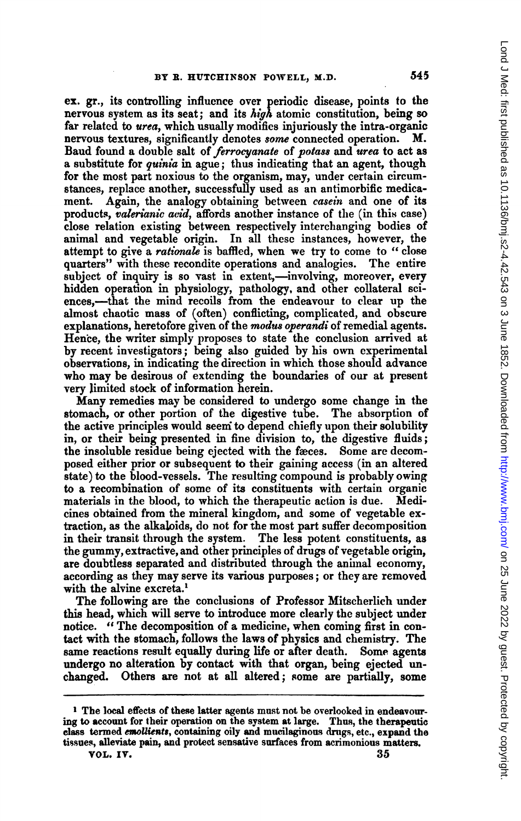ex. gr., its controlling influence over periodic disease, points to the nervous system as its seat; and its high atomic constitution, being so far related to *urea*, which usually modifies injuriously the intra-organic nervous textures, significantly denotes some connected operation. M. Baud found a double salt of *ferrocyanate* of *potass* and *urea* to act as a substitute for quinia in ague; thus indicating that an agent, though for the most part noxious to the organism, may, under certain circumstances, replace another, successfully used as an antimorbific medicament. Again, the analogy obtaining between *casein* and one of its products, valerianic acid, affords another instance of the (in this case) close relation existing between respectively interchanging bodies of animal and vegetable origin. In all these instances, however, the attempt to give a *rationale* is baffled, when we try to come to " close quarters" with these recondite operations and analogies. The entire subject of inquiry is so vast in extent,—involving, moreover, every hidden operation in physiology, pathology, and other collateral sciences,-that the mind recoils from the endeavour to clear up the almost chaotic mass of (often) conflicting, complicated, and obscure explanations, heretofore given of the *modus operandi* of remedial agents. Hence, the writer simply proposes to state the conclusion arrived at by recent investigators; being also guided by his own experimental observations, in indicating the direction in which those should advance who may be desirous of extending the boundaries of our at present very limited stock of information herein.

Many remedies may be considered to undergo some change in the stomach, or other portion of the digestive tube. The absorption of the active principles would seeni to depend chiefly upon their solubility in, or their being presented in fine division to, the digestive fluids; the insoluble residue being ejected with the faeces. Some are decomposed either prior or subsequent to their gaining access (in an altered state) to the blood-vessels. The resulting compound is probably owing to a recombination of some of its constituents with certain organic materials in the blood, to which the therapeutic action is due. Medicines obtained from the mineral kingdom, and some of vegetable extraction, as the alkaloids, do not for the most part suffer decomposition in their transit through the system. The less potent constituents, as the gummy, extractive, and other principles of drugs of vegetable origin, are doubtless separated and distributed through the animal economy, according as they may serve its various purposes; or they are removed with the alvine excreta.'

The following are the conclusions of Professor Mitscherlich under this head, which will serve to introduce more clearly the subject under notice. " The decomposition of a medicine, when coming first in contact with the stomach, follows the laws of physics and chemistry. The same reactions result equally during life or after death. Some agents undergo no alteration by contact with that organ, being ejected unchanged. Others are not at all altered; some are partially, some

545

<sup>1</sup> The local effects of these latter agents must not be overlooked in endeavouring to account for their operation on the system at large. Thus, the therapeutic class termed emollients, containing oily and mucilaginous drugs, etc., expand the tissues, alleviate pain, and protect sensative surfaces from acrimonious matters.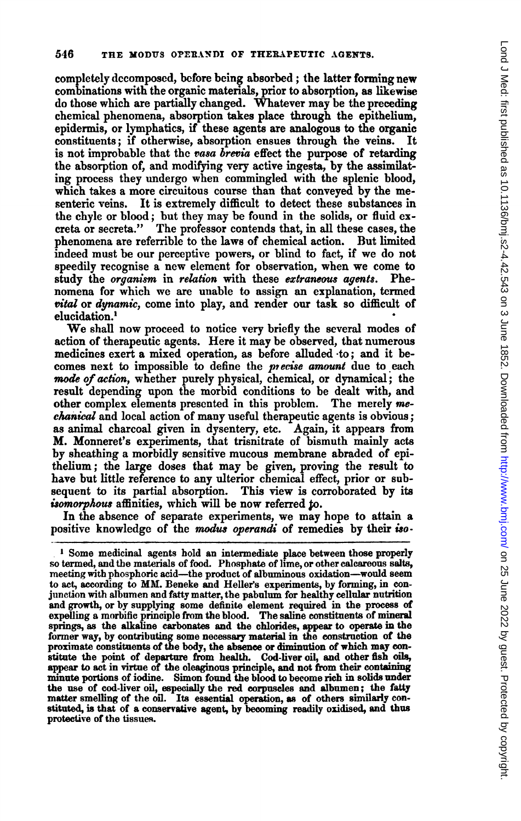completely decomposed, before being absorbed; the latter forming new combinations with the organic materials, prior to absorption, as likewise do those which are partially changed. Whatever may be the preceding chemical phenomena, absorption takes place through the epithelium, epidermis, or lymphatics, if these agents are analogous to the organic constituents; if otherwise, absorption ensues through the veins. It is not improbable that the vasa brevia effect the purpose of retarding the absorption of, and modifying very active ingesta, by the assimilating process they undergo when commingled with the splenic blood, which takes a more circuitous course than that conveyed by the mesenteric veins. It is extremely difficult to detect these substances in the chyle or blood; but they may be found in the solids, or fluid ex-<br>creta or secreta." The professor contends that, in all these cases, the The professor contends that, in all these cases, the phenomena are referrible to the laws of chemical action. But limited indeed must be our perceptive powers, or blind to fact, if we do not speedily recognise a new element for observation, when we come to study the organism in relation with these extraneous agents. Phenomena for which we are unable to assign an explanation, termed vital or dynamic, come into play, and render our task so difficult of elucidation.<sup>1</sup>

We shall now proceed to notice very briefly the several modes of action of therapeutic agents. Here it may be observed, that numerous medicines exert a mixed operation, as before alluded -to; and it becomes next to impossible to define the *precise amount* due to each mode of action, whether purely physical, chemical, or dynamical; the result depending upon the morbid conditions to be dealt with, and other complex elements presented in this problem. The merely mechanical and local action of many useful therapeutic agents is obvious; as animal charcoal given in dysentery, etc. Again, it appears from M. Monneret's experiments, that trisnitrate of bismuth mainly acts by sheathing a morbidly sensitive mucous membrane abraded of epithelium; the large doses that may be given, proving the result to have but little reference to any ulterior chemical effect, prior or subsequent to its partial absorption. This view is corroborated by its isomorphous affinities, which will be now referred to.

In the absence of separate experiments, we may hope to attain a positive knowledge of the modus operandi of remedies by their iso-

Some medicinal agents hold an intermediate place between those properly so termed, and the materials of food. Phosphate of lime, or other calcareous salts, meeting with phosphoric acid-the product of albuminous oxidation-would seem to act, according to MM. Beneke and Heller's experiments, by forming, in conjunction with albumen and fatty matter, the pabulum for healthy cellular nutrition and growth, or by supplying some definite element required in the process of expelling a morbific principle from the blood. The saline constituents of mineral springs, as the alkaline carbonates and the chlorides, appear to operate in the former way, by contributing some necessary material in the construction of the proximate constituents of the body, the absence or diminution of which may constitute the point of departure from health. Cod-liver oil, and other fih oi appear to act in virtue of the oleaginous principle, and not from their containing minute portions of iodine. Simon found the blood to become rich in solids under the use of cod-liver oil, especially the red corpuscles and albumen; the fatty matter smelling of the oil. Its essential operation, as of others similarly constituted, is that of a conservative agent, by becoming readily oxidised, and thus protective of the tissues.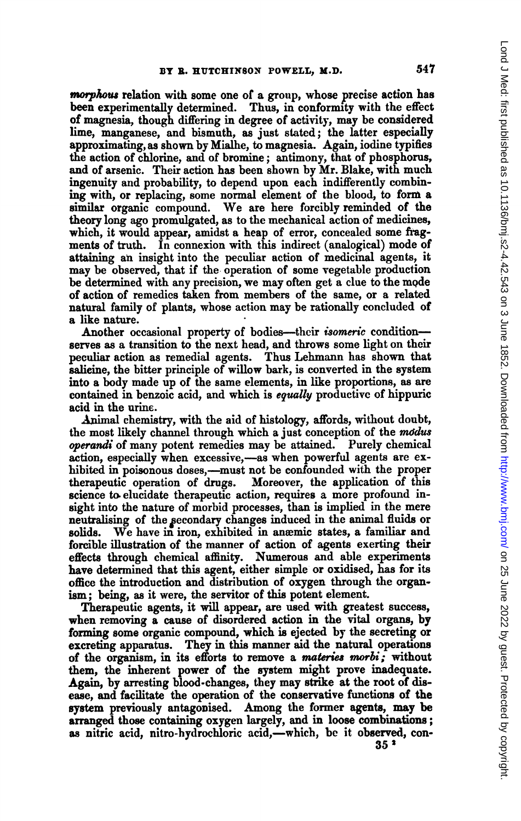morphous relation with some one of a group, whose precise action has been experimentally determined. Thus, in conformity with the effect of magnesia, though differing in degree of activity, may be considered lime, manganese, and bismuth, as just stated; the latter especially approximating, as shown by Mialhe, to magnesia. Again, iodine typifies the action of chlorine, and of bromine; antimony, that of phosphorus, and of arsenic. Their action has been shown by Mr. Blake, with much ingenuity and probability, to depend upon each indifferently combining with, or replacing, some normal element of the blood, to form a similar organic compound. We are here forcibly reminded of the theory long ago promulgated, as to the mechanical action of medicines, which, it would appear, amidst a heap of error, concealed some fiagments of truth. In connexion with this indirect (analogical) mode of attaining an insight into the peculiar action of medicinal agents, it may be observed, that if the operation of some vegetable production be determined with any precision, we may often get a clue to the mode of action of remedies taken from members of the same, or a related natural family of plants, whose action may be rationally concluded of a like nature.

Another occasional property of bodies—their *isomeric* condition serves as a transition to the next head, and throws some light on their peculiar action as remedial agents. Thus Lehmann has shown that salieine, the bitter principle of willow bark, is converted in the system into a body made up of the same elements, in like proportions, as are contained in benzoic acid, and which is equally productive of hippuric acid in the urine.

Animal chemistry, with the aid of histology, affords, without doubt, the most likely channel through which a just conception of the modus operandi of many potent remedies may be attained. Purely chemical action, especially when excessive,-as when powerful agents are exhibited in poisonous doses,—must not be confounded with the proper therapeutic operation of drugs. Moreover, the application of this science to elucidate therapeutic action, requires a more profound insight into the nature of morbid processes, than is implied in the mere neutralising of the secondary changes induced in the animal fluids or solids. We have in iron, exhibited in anemic states, <sup>a</sup> familiar and forcible illustration of the manner of action of agents exerting their effects through chemical affinity. Numerous and able experiments have determined that this agent, either simple or oxidised, has for its office the introduction and distribution of oxygen through the organism; being, as it were, the servitor of this potent element.

Therapeutic agents, it will appear, are used with greatest success, when removing a cause of disordered action in the vital organs, by forming some organic compound, which is ejected by the secreting or excreting apparatus. They in this manner aid the natural operations of the organism, in its efforts to remove a *materies morbi*; without them, the inherent power of the system might prove inadequate. Again, by arresting blood-changes, they may strike at the root of disease, and facilitate the operation of the conservative functions of the system previously antagonised. Among the former agents, may be arranged those containing oxygen largely, and in loose combinations; as nitric acid, nitro-hydrochloric acid,-which, be it observed, con-

547

 $35<sup>3</sup>$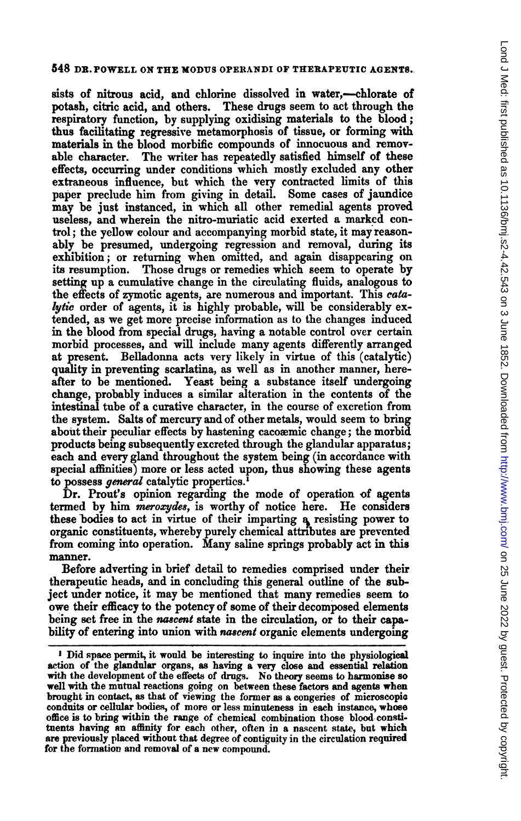#### 548 DR. POWELL ON THE MODUS OPERANDI OF THERAPEUTIC AGENTS.

sists of nitrous acid, and chlorine dissolved in water,-chlorate of potash, citric acid, and others. These drugs seem to act through the respiratory function, by supplying oxidising materials to the blood; thus facilitating regressive metamorphosis of tissue, or forming with materials in the blood morbific compounds of innocuous and removable character. The writer has repeatedly satisfied himself of these effects, occurring under conditions which mostly excluded any other extraneous influence, but which the very contracted limits of this paper preclude him from giving in detail. Some cases of jaundice may be just instanced, in which all other remedial agents proved useless, and wherein the nitro-muriatic acid exerted a markcd control; the yellow colour and accompanying morbid state, it may reasonably be presumed, undergoing regression and removal, during its exhibition; or returning when omitted, and again disappearing on its resumption. Those drugs or remedies which seem to operate by setting up a cumulative change in the circulating fluids, analogous to the effects of zymotic agents, are numerous and important. This catalytic order of agents, it is highly probable, will be considerably extended, as we get more precise information as to the changes induced in the blood from special drugs, having a notable control over certain morbid processes, and will include many agents differently arranged at present. Belladonna acts very likely in virtue of this (catalytic) quality in preventing scarlatina, as well as in another manner, hereafter to be mentioned. Yeast being a substance itself undergoing change, probably induces a similar alteration in the contents of the intestinal tube of a curative character, in the course of excretion from the system. Salts of mercury and of other metals, would seem to bring about their peculiar effects by hastening cacoæmic change; the morbid products being subsequently excreted through the glandular apparatus; each and every gland throughout the system being (in accordance with special affinities) more or less acted upon, thus showing these agents to possess *general* catalytic properties.<sup>1</sup>

Dr. Prout's opinion regarding the mode of operation of agents termed by him meroxydes, is worthy of notice here. He considers these bodies to act in virtue of their imparting a resisting power to organic constituents, whereby purely chemical attributes are prevented from coming into operation. Many saline springs probably act in this manner.

Before adverting in brief detail to remedies comprised under their therapeutic heads, and in concluding this general outline of the subject under notice, it may be mentioned that many remedies seem to owe their efficacy to the potency of some of their decomposed elements being set free in the *nascent* state in the circulation, or to their capability of entering into union with nascent organic elements undergoing

<sup>I</sup> Did space permit, it would be interesting to inquire into the physiological action of the glandular organs, as having a very close and essential relation with the development of the effects of drugs. No theory seems to harmonise so well with the mutual reactions going on between these factors and agents when brought in contact, as that of viewing the former as a congeries of microscopic conduits or cellular bodies, of more or less minuteness in each instance, whose office is to bring within the range of chemical combination those blood constituents having an affinity for each other, often in a nascent state, but which are previously placed without that degree of contiguity in the circulation required for the formation and removal of a new compound.